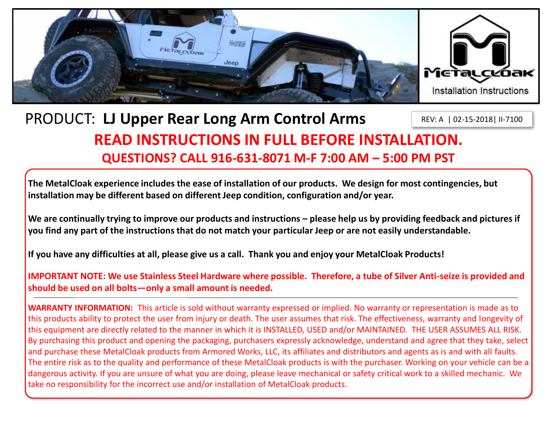

### PRODUCT: **LJ Upper Rear Long Arm Control Arms READ INSTRUCTIONS IN FULL BEFORE INSTALLATION. QUESTIONS? CALL 916-631-8071 M-F 7:00 AM – 5:00 PM PST** REV: A | 02-15-2018| II-7100

**The MetalCloak experience includes the ease of installation of our products. We design for most contingencies, but installation may be different based on different Jeep condition, configuration and/or year.**

We are continually trying to improve our products and instructions – please help us by providing feedback and pictures if **you find any part of the instructions that do not match your particular Jeep or are not easily understandable.** 

**If you have any difficulties at all, please give us a call. Thank you and enjoy your MetalCloak Products!** 

**IMPORTANT NOTE: We use Stainless Steel Hardware where possible. Therefore, a tube of Silver Anti-seize is provided and should be used on all bolts—only a small amount is needed.**

**WARRANTY INFORMATION:** This article is sold without warranty expressed or implied. No warranty or representation is made as to this products ability to protect the user from injury or death. The user assumes that risk. The effectiveness, warranty and longevity of this equipment are directly related to the manner in which it is INSTALLED, USED and/or MAINTAINED. THE USER ASSUMES ALL RISK. By purchasing this product and opening the packaging, purchasers expressly acknowledge, understand and agree that they take, select and purchase these MetalCloak products from Armored Works, LLC, its affiliates and distributors and agents as is and with all faults. The entire risk as to the quality and performance of these MetalCloak products is with the purchaser. Working on your vehicle can be a dangerous activity. If you are unsure of what you are doing, please leave mechanical or safety critical work to a skilled mechanic. We take no responsibility for the incorrect use and/or installation of MetalCloak products.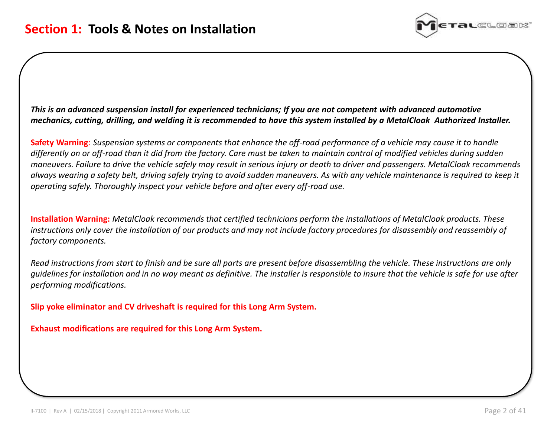

*This is an advanced suspension install for experienced technicians; If you are not competent with advanced automotive mechanics, cutting, drilling, and welding it is recommended to have this system installed by a MetalCloak Authorized Installer.*

**Safety Warning**: *Suspension systems or components that enhance the off-road performance of a vehicle may cause it to handle differently on or off-road than it did from the factory. Care must be taken to maintain control of modified vehicles during sudden maneuvers. Failure to drive the vehicle safely may result in serious injury or death to driver and passengers. MetalCloak recommends always wearing a safety belt, driving safely trying to avoid sudden maneuvers. As with any vehicle maintenance is required to keep it operating safely. Thoroughly inspect your vehicle before and after every off-road use.* 

**Installation Warning:** *MetalCloak recommends that certified technicians perform the installations of MetalCloak products. These instructions only cover the installation of our products and may not include factory procedures for disassembly and reassembly of factory components.* 

*Read instructions from start to finish and be sure all parts are present before disassembling the vehicle. These instructions are only guidelines for installation and in no way meant as definitive. The installer is responsible to insure that the vehicle is safe for use after performing modifications.*

**Slip yoke eliminator and CV driveshaft is required for this Long Arm System.**

**Exhaust modifications are required for this Long Arm System.**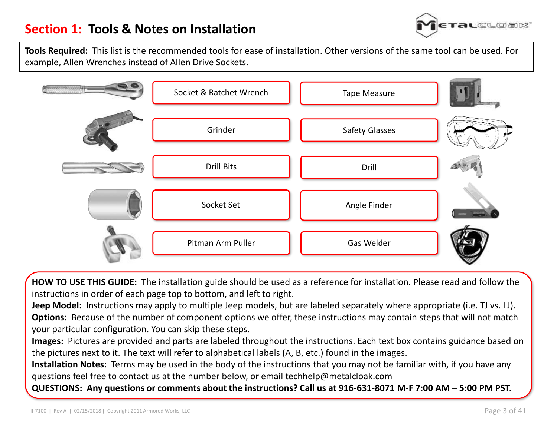

**Tools Required:** This list is the recommended tools for ease of installation. Other versions of the same tool can be used. For example, Allen Wrenches instead of Allen Drive Sockets.



**HOW TO USE THIS GUIDE:** The installation guide should be used as a reference for installation. Please read and follow the instructions in order of each page top to bottom, and left to right.

**Jeep Model:** Instructions may apply to multiple Jeep models, but are labeled separately where appropriate (i.e. TJ vs. LJ). **Options:** Because of the number of component options we offer, these instructions may contain steps that will not match your particular configuration. You can skip these steps.

**Images:** Pictures are provided and parts are labeled throughout the instructions. Each text box contains guidance based on the pictures next to it. The text will refer to alphabetical labels (A, B, etc.) found in the images.

**Installation Notes:** Terms may be used in the body of the instructions that you may not be familiar with, if you have any questions feel free to contact us at the number below, or email techhelp@metalcloak.com

**QUESTIONS: Any questions or comments about the instructions? Call us at 916-631-8071 M-F 7:00 AM – 5:00 PM PST.**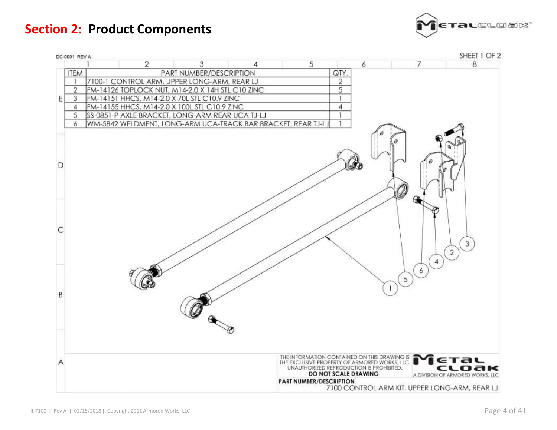**Section 2: Product Components**



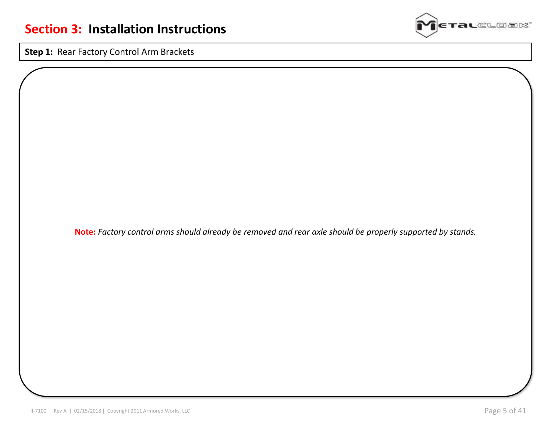**ralc**loak

**Step 1:** Rear Factory Control Arm Brackets

**Note:** *Factory control arms should already be removed and rear axle should be properly supported by stands.*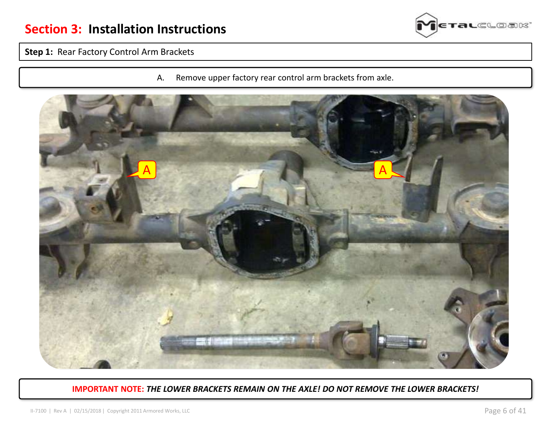

### **Step 1:** Rear Factory Control Arm Brackets

A. Remove upper factory rear control arm brackets from axle.



#### **IMPORTANT NOTE:** *THE LOWER BRACKETS REMAIN ON THE AXLE! DO NOT REMOVE THE LOWER BRACKETS!*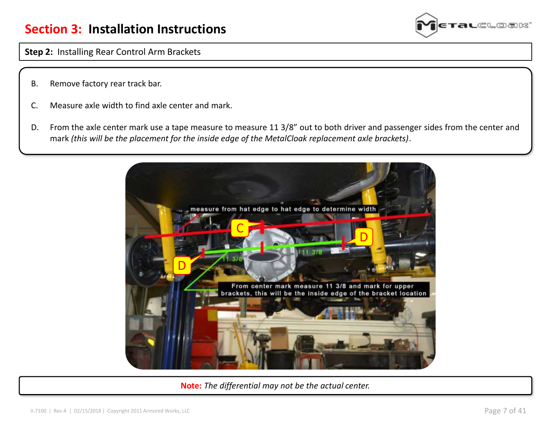

**Step 2:** Installing Rear Control Arm Brackets

- B. Remove factory rear track bar.
- C. Measure axle width to find axle center and mark.
- D. From the axle center mark use a tape measure to measure 11 3/8" out to both driver and passenger sides from the center and mark *(this will be the placement for the inside edge of the MetalCloak replacement axle brackets)*.



**Note:** *The differential may not be the actual center.*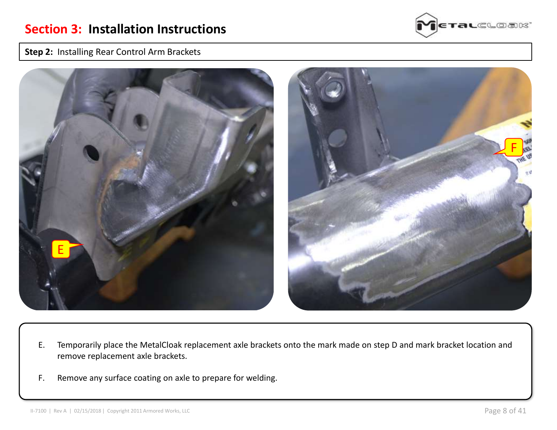

#### **Step 2:** Installing Rear Control Arm Brackets



- E. Temporarily place the MetalCloak replacement axle brackets onto the mark made on step D and mark bracket location and remove replacement axle brackets.
- F. Remove any surface coating on axle to prepare for welding.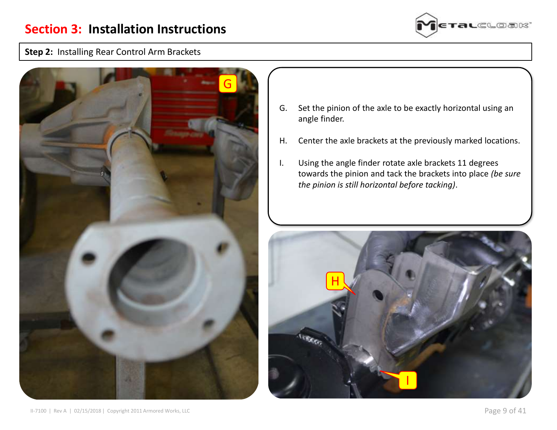

#### **Step 2:** Installing Rear Control Arm Brackets



- G. Set the pinion of the axle to be exactly horizontal using an angle finder.
- H. Center the axle brackets at the previously marked locations.
- I. Using the angle finder rotate axle brackets 11 degrees towards the pinion and tack the brackets into place *(be sure the pinion is still horizontal before tacking)*.

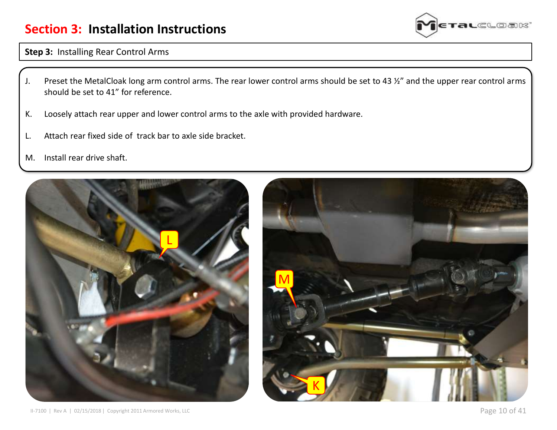## **Section 3: Installation Instructions**



**Step 3:** Installing Rear Control Arms

- J. Preset the MetalCloak long arm control arms. The rear lower control arms should be set to 43 ½" and the upper rear control arms should be set to 41" for reference.
- K. Loosely attach rear upper and lower control arms to the axle with provided hardware.
- L. Attach rear fixed side of track bar to axle side bracket.
- M. Install rear drive shaft.



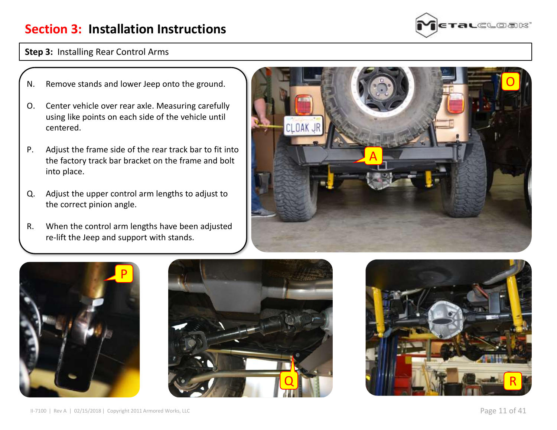# **Section 3: Installation Instructions**



#### **Step 3:** Installing Rear Control Arms

- N. Remove stands and lower Jeep onto the ground.
- O. Center vehicle over rear axle. Measuring carefully using like points on each side of the vehicle until centered.
- P. Adjust the frame side of the rear track bar to fit into the factory track bar bracket on the frame and bolt into place.
- Q. Adjust the upper control arm lengths to adjust to the correct pinion angle.
- R. When the control arm lengths have been adjusted re-lift the Jeep and support with stands.







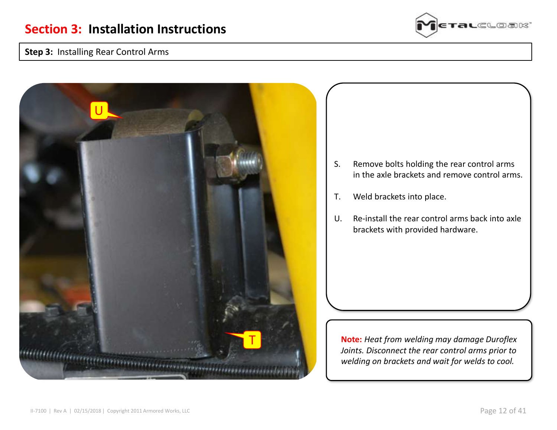### **Step 3:** Installing Rear Control Arms